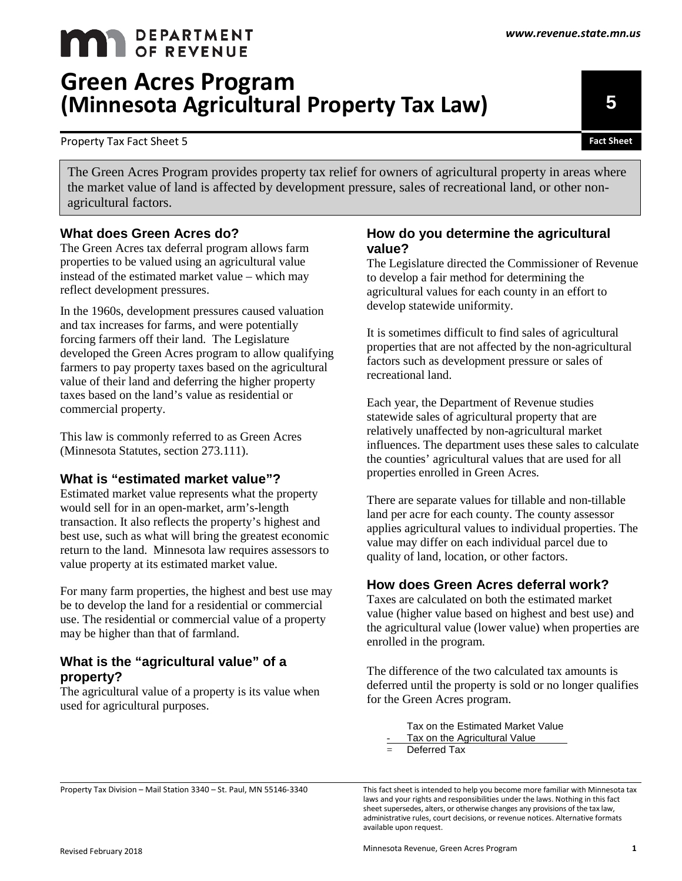# **MAN** DEPARTMENT **Green Acres Program (Minnesota Agricultural Property Tax Law)**

Property Tax Fact Sheet 5 **Fact Sheet** 

The Green Acres Program provides property tax relief for owners of agricultural property in areas where the market value of land is affected by development pressure, sales of recreational land, or other nonagricultural factors.

# **What does Green Acres do?**

The Green Acres tax deferral program allows farm properties to be valued using an agricultural value instead of the estimated market value – which may reflect development pressures.

In the 1960s, development pressures caused valuation and tax increases for farms, and were potentially forcing farmers off their land. The Legislature developed the Green Acres program to allow qualifying farmers to pay property taxes based on the agricultural value of their land and deferring the higher property taxes based on the land's value as residential or commercial property.

This law is commonly referred to as Green Acres (Minnesota Statutes, section 273.111).

# **What is "estimated market value"?**

Estimated market value represents what the property would sell for in an open-market, arm's-length transaction. It also reflects the property's highest and best use, such as what will bring the greatest economic return to the land. Minnesota law requires assessors to value property at its estimated market value.

For many farm properties, the highest and best use may be to develop the land for a residential or commercial use. The residential or commercial value of a property may be higher than that of farmland.

# **What is the "agricultural value" of a property?**

The agricultural value of a property is its value when used for agricultural purposes.

#### **How do you determine the agricultural value?**

The Legislature directed the Commissioner of Revenue to develop a fair method for determining the agricultural values for each county in an effort to develop statewide uniformity.

It is sometimes difficult to find sales of agricultural properties that are not affected by the non-agricultural factors such as development pressure or sales of recreational land.

Each year, the Department of Revenue studies statewide sales of agricultural property that are relatively unaffected by non-agricultural market influences. The department uses these sales to calculate the counties' agricultural values that are used for all properties enrolled in Green Acres.

There are separate values for tillable and non-tillable land per acre for each county. The county assessor applies agricultural values to individual properties. The value may differ on each individual parcel due to quality of land, location, or other factors.

# **How does Green Acres deferral work?**

Taxes are calculated on both the estimated market value (higher value based on highest and best use) and the agricultural value (lower value) when properties are enrolled in the program.

The difference of the two calculated tax amounts is deferred until the property is sold or no longer qualifies for the Green Acres program.

> Tax on the Estimated Market Value Tax on the Agricultural Value

 $=$  Deferred Tax

This fact sheet is intended to help you become more familiar with Minnesota tax laws and your rights and responsibilities under the laws. Nothing in this fact sheet supersedes, alters, or otherwise changes any provisions of the tax law, administrative rules, court decisions, or revenue notices. Alternative formats available upon request.

**5**